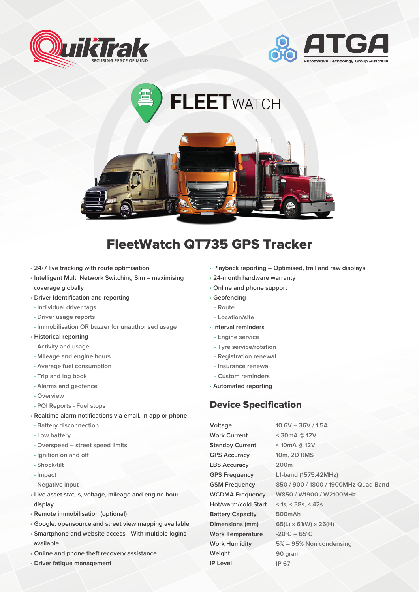





## FleetWatch QT735 GPS Tracker

- **24/7 live tracking with route optimisation**
- **Intelligent Multi Network Switching Sim maximising coverage globally**
- **Driver Identification and reporting**
- **Individual driver tags**
- **Driver usage reports**
- **Immobilisation OR buzzer for unauthorised usage**
- **Historical reporting**
- **Activity and usage**
- **Mileage and engine hours**
- **Average fuel consumption**
- **Trip and log book**
- **Alarms and geofence**
- **Overview**
- **POI Reports Fuel stops**
- **Realtime alarm notifications via email, in-app or phone**
- **Battery disconnection**
- **Low battery**
- **Overspeed street speed limits**
- **Ignition on and off**
- **Shock/tilt**
- **Impact**
- **Negative input**
- **Live asset status, voltage, mileage and engine hour display**
- **Remote immobilisation (optional)**
- **Google, opensource and street view mapping available**
- **Smartphone and website access With multiple logins available**
- **Online and phone theft recovery assistance**
- **Driver fatigue management**

**• Playback reporting – Optimised, trail and raw displays**

**10.6V – 36V / 1.5A**

- **24-month hardware warranty**
- **Online and phone support**
- **Geofencing**
- **Route**
	- **Location/site**
- **Interval reminders**
	- **Engine service**
	- **Tyre service/rotation**
	- **Registration renewal**
	- **Insurance renewal**
	- **Custom reminders**
- **Automated reporting**

## Device Specification

**Voltage Work Current Standby Current GPS Accuracy LBS Accuracy GPS Frequency GSM Frequency WCDMA Frequency Hot/warm/cold Start Battery Capacity Dimensions (mm) Work Temperature Work Humidity Weight IP Level**

**< 30mA @ 12V < 10mA @ 12V 10m, 2D RMS 200m L1-band (1575.42MHz) 850 / 900 / 1800 / 1900MHz Quad Band W850 / W1900 / W2100MHz < 1s**,**< 38s**,**< 42s 500mAh 65(L) x 61(W) x 26(H) -20°C – 65°C 5% – 95% Non condensing 90 gram IP 67**